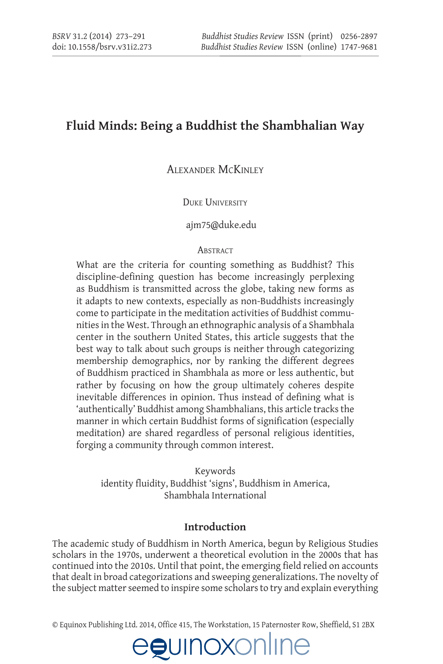# **Fluid Minds: Being a Buddhist the Shambhalian Way**

### AlexAnder McKinley

### DUKE UNIVERSITY

### <ajm75@duke.edu>

### **ABSTRACT**

What are the criteria for counting something as Buddhist? This discipline-defining question has become increasingly perplexing as Buddhism is transmitted across the globe, taking new forms as it adapts to new contexts, especially as non-Buddhists increasingly come to participate in the meditation activities of Buddhist communities in the West. Through an ethnographic analysis of a Shambhala center in the southern United States, this article suggests that the best way to talk about such groups is neither through categorizing membership demographics, nor by ranking the different degrees of Buddhism practiced in Shambhala as more or less authentic, but rather by focusing on how the group ultimately coheres despite inevitable differences in opinion. Thus instead of defining what is 'authentically' Buddhist among Shambhalians, this article tracks the manner in which certain Buddhist forms of signification (especially meditation) are shared regardless of personal religious identities, forging a community through common interest.

Keywords identity fluidity, Buddhist 'signs', Buddhism in America, Shambhala International

### **Introduction**

The academic study of Buddhism in North America, begun by Religious Studies scholars in the 1970s, underwent a theoretical evolution in the 2000s that has continued into the 2010s. Until that point, the emerging field relied on accounts that dealt in broad categorizations and sweeping generalizations. The novelty of the subject matter seemed to inspire some scholars to try and explain everything

 $© Equinos Publishing Ltd. 2014, Office 415, The Workstation, 15 Paternoster Row, Sheffield, S1 2BX$ 

JE

egunoxonlır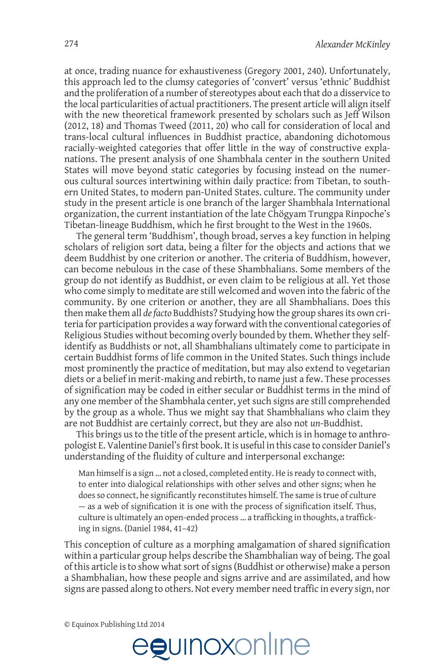at once, trading nuance for exhaustiveness (Gregory 2001, 240). Unfortunately, this approach led to the clumsy categories of 'convert' versus 'ethnic' Buddhist and the proliferation of a number of stereotypes about each that do a disservice to the local particularities of actual practitioners. The present article will align itself with the new theoretical framework presented by scholars such as Jeff Wilson (2012, 18) and Thomas Tweed (2011, 20) who call for consideration of local and trans-local cultural influences in Buddhist practice, abandoning dichotomous racially-weighted categories that offer little in the way of constructive explanations. The present analysis of one Shambhala center in the southern United States will move beyond static categories by focusing instead on the numerous cultural sources intertwining within daily practice: from Tibetan, to southern United States, to modern pan-United States, culture. The community under study in the present article is one branch of the larger Shambhala International organization, the current instantiation of the late Chögyam Trungpa Rinpoche's Tibetan-lineage Buddhism, which he first brought to the West in the 1960s.

The general term 'Buddhism', though broad, serves a key function in helping scholars of religion sort data, being a filter for the objects and actions that we deem Buddhist by one criterion or another. The criteria of Buddhism, however, can become nebulous in the case of these Shambhalians. Some members of the group do not identify as Buddhist, or even claim to be religious at all. Yet those who come simply to meditate are still welcomed and woven into the fabric of the community. By one criterion or another, they are all Shambhalians. Does this then make them all de facto Buddhists? Studying how the group shares its own criteria for participation provides a way forward with the conventional categories of Religious Studies without becoming overly bounded by them. Whether they selfidentify as Buddhists or not, all Shambhalians ultimately come to participate in certain Buddhist forms of life common in the United States. Such things include most prominently the practice of meditation, but may also extend to vegetarian diets or a belief in merit-making and rebirth, to name just a few. These processes of signification may be coded in either secular or Buddhist terms in the mind of any one member of the Shambhala center, yet such signs are still comprehended by the group as a whole. Thus we might say that Shambhalians who claim they are not Buddhist are certainly correct, but they are also not un-Buddhist.

This brings us to the title of the present article, which is in homage to anthropologist E. Valentine Daniel's first book. It is useful in this case to consider Daniel's understanding of the fluidity of culture and interpersonal exchange:

Man himself is a sign ... not a closed, completed entity. He is ready to connect with, to enter into dialogical relationships with other selves and other signs; when he does so connect, he significantly reconstitutes himself. The same is true of culture - as a web of signification it is one with the process of signification itself. Thus, culture is ultimately an open-ended process ... a trafficking in thoughts, a trafficking in signs. (Daniel 1984, 41-42)

This conception of culture as a morphing amalgamation of shared signification within a particular group helps describe the Shambhalian way of being. The goal of this article is to show what sort of signs (Buddhist or otherwise) make a person a Shambhalian, how these people and signs arrive and are assimilated, and how signs are passed along to others. Not every member need traffic in every sign, nor

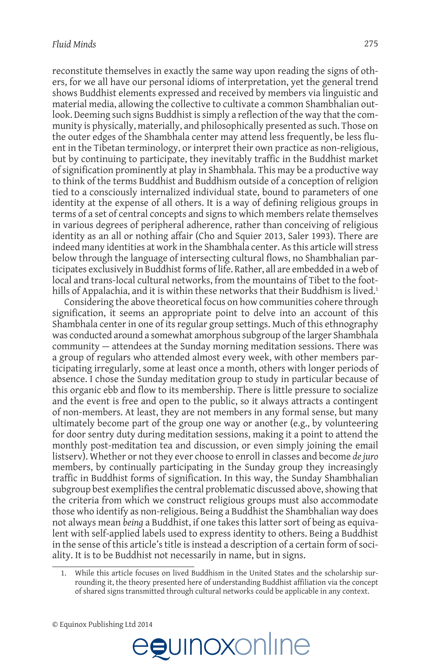reconstitute themselves in exactly the same way upon reading the signs of others, for we all have our personal idioms of interpretation, yet the general trend shows Buddhist elements expressed and received by members via linguistic and material media, allowing the collective to cultivate a common Shambhalian outlook. Deeming such signs Buddhist is simply a reflection of the way that the community is physically, materially, and philosophically presented as such. Those on the outer edges of the Shambhala center may attend less frequently, be less fluent in the Tibetan terminology, or interpret their own practice as non-religious, but by continuing to participate, they inevitably traffic in the Buddhist market of signification prominently at play in Shambhala. This may be a productive way to think of the terms Buddhist and Buddhism outside of a conception of religion tied to a consciously internalized individual state, bound to parameters of one identity at the expense of all others. It is a way of defining religious groups in terms of a set of central concepts and signs to which members relate themselves in various degrees of peripheral adherence, rather than conceiving of religious identity as an all or nothing affair (Cho and Squier 2013, Saler 1993). There are indeed many identities at work in the Shambhala center. As this article will stress below through the language of intersecting cultural flows, no Shambhalian participates exclusively in Buddhist forms of life. Rather, all are embedded in a web of local and trans-local cultural networks, from the mountains of Tibet to the foothills of Appalachia, and it is within these networks that their Buddhism is lived.<sup>1</sup>

Considering the above theoretical focus on how communities cohere through signification, it seems an appropriate point to delve into an account of this Shambhala center in one of its regular group settings. Much of this ethnography was conducted around a somewhat amorphous subgroup of the larger Shambhala community  $-$  attendees at the Sunday morning meditation sessions. There was a group of regulars who attended almost every week, with other members participating irregularly, some at least once a month, others with longer periods of absence. I chose the Sunday meditation group to study in particular because of this organic ebb and flow to its membership. There is little pressure to socialize and the event is free and open to the public, so it always attracts a contingent of non-members. At least, they are not members in any formal sense, but many ultimately become part of the group one way or another (e.g., by volunteering for door sentry duty during meditation sessions, making it a point to attend the monthly post-meditation tea and discussion, or even simply joining the email listserv). Whether or not they ever choose to enroll in classes and become de juro members, by continually participating in the Sunday group they increasingly traffic in Buddhist forms of signification. In this way, the Sunday Shambhalian subgroup best exemplifies the central problematic discussed above, showing that the criteria from which we construct religious groups must also accommodate those who identify as non-religious. Being a Buddhist the Shambhalian way does not always mean being a Buddhist, if one takes this latter sort of being as equivalent with self-applied labels used to express identity to others. Being a Buddhist in the sense of this article's title is instead a description of a certain form of sociality. It is to be Buddhist not necessarily in name, but in signs.

While this article focuses on lived Buddhism in the United States and the scholarship surrounding it, the theory presented here of understanding Buddhist affiliation via the concept of shared signs transmitted through cultural networks could be applicable in any context.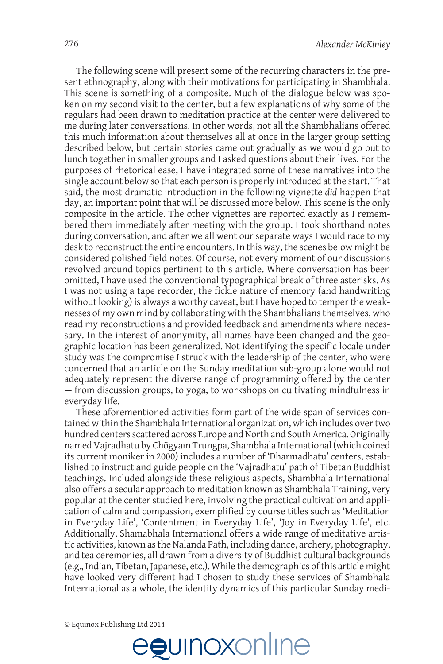The following scene will present some of the recurring characters in the present ethnography, along with their motivations for participating in Shambhala. This scene is something of a composite. Much of the dialogue below was spoken on my second visit to the center, but a few explanations of why some of the regulars had been drawn to meditation practice at the center were delivered to me during later conversations. In other words, not all the Shambhalians offered this much information about themselves all at once in the larger group setting described below, but certain stories came out gradually as we would go out to lunch together in smaller groups and I asked questions about their lives. For the purposes of rhetorical ease, I have integrated some of these narratives into the single account below so that each person is properly introduced at the start. That said, the most dramatic introduction in the following vignette did happen that day, an important point that will be discussed more below. This scene is the only composite in the article. The other vignettes are reported exactly as I remembered them immediately after meeting with the group. I took shorthand notes during conversation, and after we all went our separate ways I would race to my desk to reconstruct the entire encounters. In this way, the scenes below might be considered polished field notes. Of course, not every moment of our discussions revolved around topics pertinent to this article. Where conversation has been omitted, I have used the conventional typographical break of three asterisks. As I was not using a tape recorder, the fickle nature of memory (and handwriting without looking) is always a worthy caveat, but I have hoped to temper the weaknesses of my own mind by collaborating with the Shambhalians themselves, who read my reconstructions and provided feedback and amendments where necessary. In the interest of anonymity, all names have been changed and the geographic location has been generalized. Not identifying the specific locale under study was the compromise I struck with the leadership of the center, who were concerned that an article on the Sunday meditation sub-group alone would not adequately represent the diverse range of programming offered by the center - from discussion groups, to yoga, to workshops on cultivating mindfulness in everyday life.

These aforementioned activities form part of the wide span of services contained within the Shambhala International organization, which includes over two hundred centers scattered across Europe and North and South America, Originally named Vajradhatu by Chögyam Trungpa, Shambhala International (which coined its current moniker in 2000) includes a number of 'Dharmadhatu' centers, established to instruct and guide people on the 'Vajradhatu' path of Tibetan Buddhist teachings. Included alongside these religious aspects, Shambhala International also offers a secular approach to meditation known as Shambhala Training, very popular at the center studied here, involving the practical cultivation and application of calm and compassion, exemplified by course titles such as 'Meditation in Everyday Life', 'Contentment in Everyday Life', 'Joy in Everyday Life', etc. Additionally, Shamabhala International offers a wide range of meditative artistic activities, known as the Nalanda Path, including dance, archery, photography, and tea ceremonies, all drawn from a diversity of Buddhist cultural backgrounds (e.g., Indian, Tibetan, Japanese, etc.). While the demographics of this article might have looked very different had I chosen to study these services of Shambhala International as a whole, the identity dynamics of this particular Sunday medi-

egunoxonline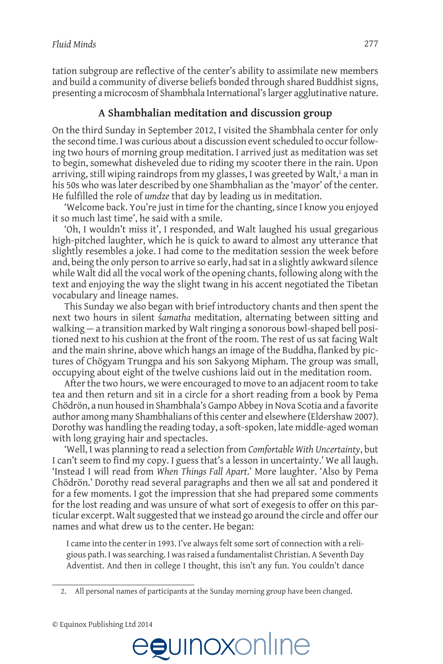tation subgroup are reflective of the center's ability to assimilate new members and build a community of diverse beliefs bonded through shared Buddhist signs, presenting a microcosm of Shambhala International's larger agglutinative nature.

### **A Shambhalian meditation and discussion group**

On the third Sunday in September 2012, I visited the Shambhala center for only the second time. I was curious about a discussion event scheduled to occur following two hours of morning group meditation. I arrived just as meditation was set to begin, somewhat disheveled due to riding my scooter there in the rain. Upon arriving, still wiping raindrops from my glasses, I was greeted by Walt,<sup>2</sup> a man in his 50s who was later described by one Shambhalian as the 'mayor' of the center. He fulfilled the role of *umdze* that day by leading us in meditation.

'Welcome back. You're just in time for the chanting, since I know you enjoyed it so much last time', he said with a smile.

"Oh, I wouldn't miss it", I responded, and Walt laughed his usual gregarious high-pitched laughter, which he is quick to award to almost any utterance that slightly resembles a joke. I had come to the meditation session the week before and, being the only person to arrive so early, had sat in a slightly awkward silence while Walt did all the yocal work of the opening chants, following along with the text and enjoying the way the slight twang in his accent negotiated the Tibetan vocabulary and lineage names.

This Sunday we also began with brief introductory chants and then spent the next two hours in silent samatha meditation, alternating between sitting and walking  $-$  a transition marked by Walt ringing a sonorous bowl-shaped bell positioned next to his cushion at the front of the room. The rest of us sat facing Walt and the main shrine, above which hangs an image of the Buddha, flanked by pictures of Chögyam Trungpa and his son Sakyong Mipham. The group was small, occupying about eight of the twelve cushions laid out in the meditation room.

After the two hours, we were encouraged to move to an adjacent room to take tea and then return and sit in a circle for a short reading from a book by Pema Chödrön, a nun housed in Shambhala's Gampo Abbey in Nova Scotia and a favorite author among many Shambhalians of this center and elsewhere (Eldershaw 2007). Dorothy was handling the reading today, a soft-spoken, late middle-aged woman with long graying hair and spectacles.

Well, I was planning to read a selection from Comfortable With Uncertainty, but I can't seem to find my copy. I guess that's a lesson in uncertainty.' We all laugh. 'Instead I will read from When Things Fall Apart.' More laughter. 'Also by Pema Chödrön.' Dorothy read several paragraphs and then we all sat and pondered it for a few moments. I got the impression that she had prepared some comments for the lost reading and was unsure of what sort of exegesis to offer on this particular excerpt. Walt suggested that we instead go around the circle and offer our names and what drew us to the center. He began:

I came into the center in 1993. I've always felt some sort of connection with a religious path. I was searching. I was raised a fundamentalist Christian. A Seventh Day Adventist. And then in college I thought, this isn't any fun. You couldn't dance



<sup>2.</sup> All personal names of participants at the Sunday morning group have been changed.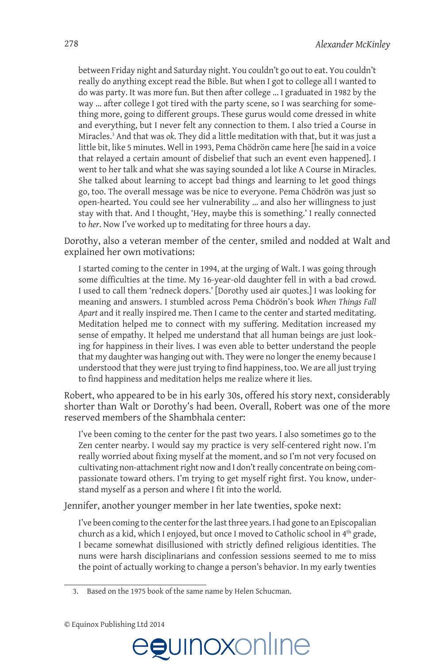between Friday night and Saturday night. You couldn't go out to eat. You couldn't really do anything except read the Bible. But when I got to college all I wanted to do was party. It was more fun. But then after college ... I graduated in 1982 by the way ... after college I got tired with the party scene, so I was searching for something more, going to different groups. These gurus would come dressed in white and everything, but I never felt any connection to them. I also tried a Course in Miracles.<sup>3</sup> And that was ok. They did a little meditation with that, but it was just a little bit, like 5 minutes. Well in 1993, Pema Chödrön came here [he said in a voice that relayed a certain amount of disbelief that such an event even happened]. I went to her talk and what she was saying sounded a lot like A Course in Miracles. She talked about learning to accept bad things and learning to let good things go, too. The overall message was be nice to everyone. Pema Chödrön was just so open-hearted. You could see her vulnerability ... and also her willingness to just stay with that. And I thought, 'Hey, maybe this is something.' I really connected to her. Now I've worked up to meditating for three hours a day.

Dorothy, also a veteran member of the center, smiled and nodded at Walt and explained her own motivations:

I started coming to the center in 1994, at the urging of Walt. I was going through some difficulties at the time. My 16-year-old daughter fell in with a bad crowd. I used to call them 'redneck dopers.' [Dorothy used air quotes.] I was looking for meaning and answers. I stumbled across Pema Chödrön's book When Things Fall Apart and it really inspired me. Then I came to the center and started meditating. Meditation helped me to connect with my suffering. Meditation increased my sense of empathy. It helped me understand that all human beings are just looking for happiness in their lives. I was even able to better understand the people that my daughter was hanging out with. They were no longer the enemy because I understood that they were just trying to find happiness, too. We are all just trying to find happiness and meditation helps me realize where it lies.

Robert, who appeared to be in his early 30s, offered his story next, considerably shorter than Walt or Dorothy's had been. Overall, Robert was one of the more reserved members of the Shambhala center:

I've been coming to the center for the past two years. I also sometimes go to the Zen center nearby. I would say my practice is very self-centered right now. I'm really worried about fixing myself at the moment, and so I'm not very focused on cultivating non-attachment right now and I don't really concentrate on being compassionate toward others. I'm trying to get myself right first. You know, understand myself as a person and where I fit into the world.

Jennifer, another younger member in her late twenties, spoke next:

I've been coming to the center for the last three years. I had gone to an Episcopalian church as a kid, which I enjoyed, but once I moved to Catholic school in 4<sup>th</sup> grade, I became somewhat disillusioned with strictly defined religious identities. The nuns were harsh disciplinarians and confession sessions seemed to me to miss the point of actually working to change a person's behavior. In my early twenties





<sup>3.</sup> Based on the 1975 book of the same name by Helen Schucman.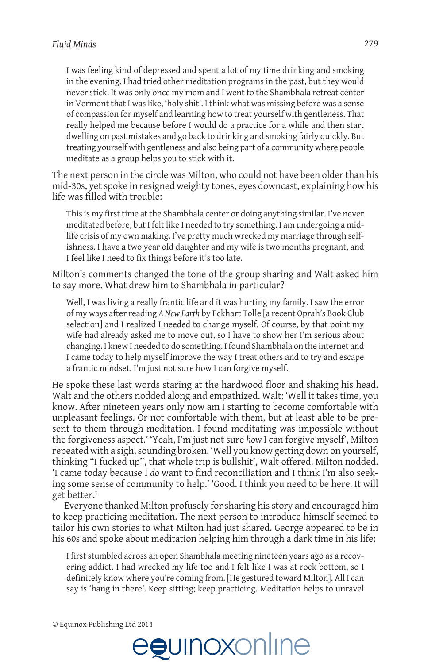I was feeling kind of depressed and spent a lot of my time drinking and smoking in the evening. I had tried other meditation programs in the past, but they would never stick. It was only once my mom and I went to the Shambhala retreat center in Vermont that I was like, 'holy shit'. I think what was missing before was a sense of compassion for myself and learning how to treat yourself with gentleness. That really helped me because before I would do a practice for a while and then start dwelling on past mistakes and go back to drinking and smoking fairly quickly. But treating yourself with gentleness and also being part of a community where people meditate as a group helps you to stick with it.

The next person in the circle was Milton, who could not have been older than his mid-30s, yet spoke in resigned weighty tones, eyes downcast, explaining how his life was filled with trouble:

This is my first time at the Shambhala center or doing anything similar. I've never meditated before, but I felt like I needed to try something. I am undergoing a midlife crisis of my own making. I've pretty much wrecked my marriage through selfishness. I have a two year old daughter and my wife is two months pregnant, and I feel like I need to fix things before it's too late.

Milton's comments changed the tone of the group sharing and Walt asked him to say more. What drew him to Shambhala in particular?

Well, I was living a really frantic life and it was hurting my family. I saw the error of my ways after reading A New Earth by Eckhart Tolle [a recent Oprah's Book Club selection] and I realized I needed to change myself. Of course, by that point my wife had already asked me to move out, so I have to show her I'm serious about changing. I knew I needed to do something. I found Shambhala on the internet and I came today to help myself improve the way I treat others and to try and escape a frantic mindset. I'm just not sure how I can forgive myself.

He spoke these last words staring at the hardwood floor and shaking his head. Walt and the others nodded along and empathized. Walt: 'Well it takes time, you know. After nineteen years only now am I starting to become comfortable with unpleasant feelings. Or not comfortable with them, but at least able to be present to them through meditation. I found meditating was impossible without the forgiveness aspect.' 'Yeah, I'm just not sure how I can forgive myself', Milton repeated with a sigh, sounding broken. 'Well you know getting down on yourself, thinking "I fucked up", that whole trip is bullshit', Walt offered. Milton nodded. 'I came today because I do want to find reconciliation and I think I'm also seeking some sense of community to help.' 'Good. I think you need to be here. It will get better.'

Everyone thanked Milton profusely for sharing his story and encouraged him to keep practicing meditation. The next person to introduce himself seemed to tailor his own stories to what Milton had just shared. George appeared to be in his 60s and spoke about meditation helping him through a dark time in his life:

I first stumbled across an open Shambhala meeting nineteen years ago as a recovering addict. I had wrecked my life too and I felt like I was at rock bottom, so I definitely know where you're coming from. [He gestured toward Milton]. All I can say is 'hang in there'. Keep sitting; keep practicing. Meditation helps to unravel

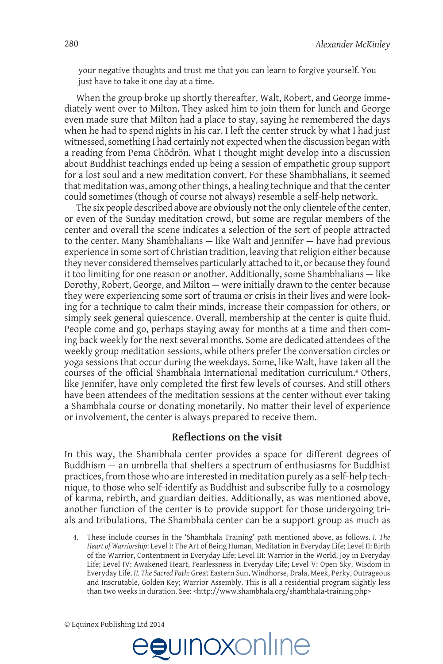your negative thoughts and trust me that you can learn to forgive yourself. You just have to take it one day at a time.

When the group broke up shortly thereafter, Walt, Robert, and George immediately went over to Milton. They asked him to join them for lunch and George even made sure that Milton had a place to stay, saying he remembered the days when he had to spend nights in his car. I left the center struck by what I had just witnessed, something I had certainly not expected when the discussion began with a reading from Pema Chödrön. What I thought might develop into a discussion about Buddhist teachings ended up being a session of empathetic group support for a lost soul and a new meditation convert. For these Shambhalians, it seemed that meditation was, among other things, a healing technique and that the center could sometimes (though of course not always) resemble a self-help network.

The six people described above are obviously not the only clientele of the center, or even of the Sunday meditation crowd, but some are regular members of the center and overall the scene indicates a selection of the sort of people attracted to the center. Many Shambhalians  $-$  like Walt and Jennifer  $-$  have had previous experience in some sort of Christian tradition, leaving that religion either because they never considered themselves particularly attached to it, or because they found it too limiting for one reason or another. Additionally, some Shambhalians - like Dorothy, Robert, George, and Milton – were initially drawn to the center because they were experiencing some sort of trauma or crisis in their lives and were looking for a technique to calm their minds, increase their compassion for others, or simply seek general quiescence. Overall, membership at the center is quite fluid. People come and go, perhaps staying away for months at a time and then coming back weekly for the next several months. Some are dedicated attendees of the weekly group meditation sessions, while others prefer the conversation circles or yoga sessions that occur during the weekdays. Some, like Walt, have taken all the courses of the official Shambhala International meditation curriculum.<sup>4</sup> Others, like Jennifer, have only completed the first few levels of courses. And still others have been attendees of the meditation sessions at the center without ever taking a Shambhala course or donating monetarily. No matter their level of experience or involvement, the center is always prepared to receive them.

### **Reflections on the visit**

In this way, the Shambhala center provides a space for different degrees of Buddhism  $-$  an umbrella that shelters a spectrum of enthusiasms for Buddhist practices, from those who are interested in meditation purely as a self-help tech-QLTXHWRWKRVHZKRVHOILGHQWLI\DV%XGGKLVWDQGVXEVFULEHIXOO\WRDFRVPRORJ\ of karma, rebirth, and guardian deities. Additionally, as was mentioned above, another function of the center is to provide support for those undergoing trials and tribulations. The Shambhala center can be a support group as much as



These include courses in the 'Shambhala Training' path mentioned above, as follows. I. The *Heart of Warriorship*: Level I: The Art of Being Human, Meditation in Everyday Life; Level II: Birth of the Warrior, Contentment in Everyday Life; Level III: Warrior in the World, Joy in Everyday Life; Level IV: Awakened Heart, Fearlessness in Everyday Life; Level V: Open Sky, Wisdom in Everyday Life. II. The Sacred Path: Great Eastern Sun, Windhorse, Drala, Meek, Perky, Outrageous and Inscrutable, Golden Key; Warrior Assembly. This is all a residential program slightly less than two weeks in duration. See: <http://www.shambhala.org/shambhala-training.php>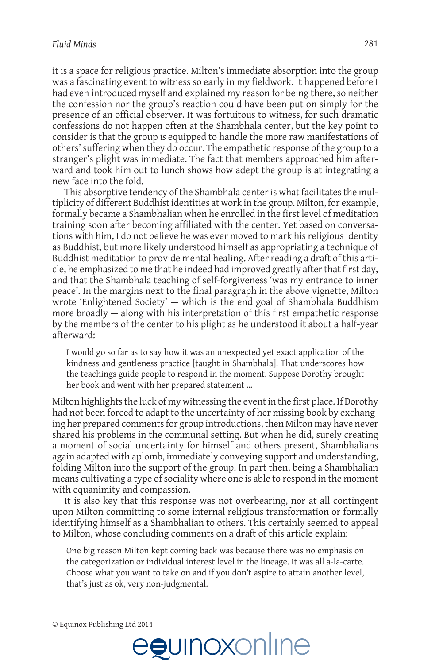it is a space for religious practice. Milton's immediate absorption into the group was a fascinating event to witness so early in my fieldwork. It happened before I had even introduced myself and explained my reason for being there, so neither the confession nor the group's reaction could have been put on simply for the presence of an official observer. It was fortuitous to witness, for such dramatic confessions do not happen often at the Shambhala center, but the key point to consider is that the group is equipped to handle the more raw manifestations of others' suffering when they do occur. The empathetic response of the group to a stranger's plight was immediate. The fact that members approached him afterward and took him out to lunch shows how adept the group is at integrating a new face into the fold.

This absorptive tendency of the Shambhala center is what facilitates the multiplicity of different Buddhist identities at work in the group. Milton, for example, formally became a Shambhalian when he enrolled in the first level of meditation training soon after becoming affiliated with the center. Yet based on conversations with him, I do not believe he was ever moved to mark his religious identity as Buddhist, but more likely understood himself as appropriating a technique of Buddhist meditation to provide mental healing. After reading a draft of this article, he emphasized to me that he indeed had improved greatly after that first day, and that the Shambhala teaching of self-forgiveness 'was my entrance to inner peace'. In the margins next to the final paragraph in the above vignette, Milton wrote 'Enlightened Society'  $-$  which is the end goal of Shambhala Buddhism more broadly — along with his interpretation of this first empathetic response by the members of the center to his plight as he understood it about a half-year afterward:

I would go so far as to say how it was an unexpected yet exact application of the kindness and gentleness practice [taught in Shambhala]. That underscores how the teachings guide people to respond in the moment. Suppose Dorothy brought her book and went with her prepared statement ...

Milton highlights the luck of my witnessing the event in the first place. If Dorothy had not been forced to adapt to the uncertainty of her missing book by exchanging her prepared comments for group introductions, then Milton may have never shared his problems in the communal setting. But when he did, surely creating a moment of social uncertainty for himself and others present, Shambhalians again adapted with aplomb, immediately conveying support and understanding, folding Milton into the support of the group. In part then, being a Shambhalian means cultivating a type of sociality where one is able to respond in the moment with equanimity and compassion.

It is also key that this response was not overbearing, nor at all contingent upon Milton committing to some internal religious transformation or formally identifying himself as a Shambhalian to others. This certainly seemed to appeal to Milton, whose concluding comments on a draft of this article explain:

One big reason Milton kept coming back was because there was no emphasis on the categorization or individual interest level in the lineage. It was all a-la-carte. Choose what you want to take on and if you don't aspire to attain another level, that's just as ok, very non-judgmental.

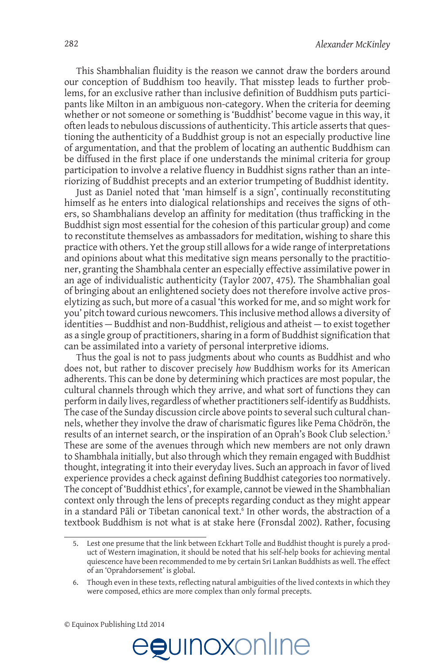This Shambhalian fluidity is the reason we cannot draw the borders around our conception of Buddhism too heavily. That misstep leads to further problems, for an exclusive rather than inclusive definition of Buddhism puts participants like Milton in an ambiguous non-category. When the criteria for deeming whether or not someone or something is 'Buddhist' become vague in this way, it often leads to nebulous discussions of authenticity. This article asserts that questioning the authenticity of a Buddhist group is not an especially productive line of argumentation, and that the problem of locating an authentic Buddhism can be diffused in the first place if one understands the minimal criteria for group participation to involve a relative fluency in Buddhist signs rather than an interiorizing of Buddhist precepts and an exterior trumpeting of Buddhist identity.

Just as Daniel noted that 'man himself is a sign', continually reconstituting himself as he enters into dialogical relationships and receives the signs of others, so Shambhalians develop an affinity for meditation (thus trafficking in the Buddhist sign most essential for the cohesion of this particular group) and come to reconstitute themselves as ambassadors for meditation, wishing to share this practice with others. Yet the group still allows for a wide range of interpretations and opinions about what this meditative sign means personally to the practitioner, granting the Shambhala center an especially effective assimilative power in an age of individualistic authenticity (Taylor 2007, 475). The Shambhalian goal of bringing about an enlightened society does not therefore involve active proselytizing as such, but more of a casual 'this worked for me, and so might work for you' pitch toward curious newcomers. This inclusive method allows a diversity of identities - Buddhist and non-Buddhist, religious and atheist - to exist together as a single group of practitioners, sharing in a form of Buddhist signification that can be assimilated into a variety of personal interpretive idioms.

Thus the goal is not to pass judgments about who counts as Buddhist and who does not, but rather to discover precisely how Buddhism works for its American adherents. This can be done by determining which practices are most popular, the cultural channels through which they arrive, and what sort of functions they can perform in daily lives, regardless of whether practitioners self-identify as Buddhists. The case of the Sunday discussion circle above points to several such cultural channels, whether they involve the draw of charismatic figures like Pema Chödrön, the results of an internet search, or the inspiration of an Oprah's Book Club selection.<sup>5</sup> These are some of the avenues through which new members are not only drawn to Shambhala initially, but also through which they remain engaged with Buddhist thought, integrating it into their everyday lives. Such an approach in favor of lived experience provides a check against defining Buddhist categories too normatively. The concept of 'Buddhist ethics', for example, cannot be viewed in the Shambhalian context only through the lens of precepts regarding conduct as they might appear in a standard Pāli or Tibetan canonical text.<sup>6</sup> In other words, the abstraction of a textbook Buddhism is not what is at stake here (Fronsdal 2002). Rather, focusing



Lest one presume that the link between Eckhart Tolle and Buddhist thought is purely a product of Western imagination, it should be noted that his self-help books for achieving mental quiescence have been recommended to me by certain Sri Lankan Buddhists as well. The effect of an 'Oprahdorsement' is global.

Though even in these texts, reflecting natural ambiguities of the lived contexts in which they 6. were composed, ethics are more complex than only formal precepts.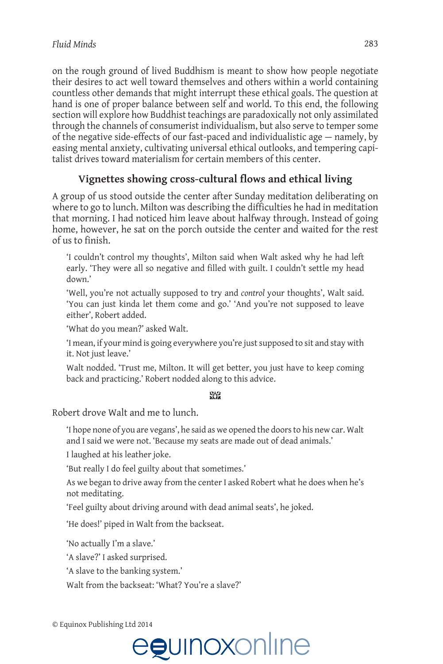on the rough ground of lived Buddhism is meant to show how people negotiate their desires to act well toward themselves and others within a world containing countless other demands that might interrupt these ethical goals. The question at hand is one of proper balance between self and world. To this end, the following section will explore how Buddhist teachings are paradoxically not only assimilated through the channels of consumerist individualism, but also serve to temper some of the negative side-effects of our fast-paced and individualistic age - namely, by easing mental anxiety, cultivating universal ethical outlooks, and tempering capitalist drives toward materialism for certain members of this center.

## Vignettes showing cross-cultural flows and ethical living

A group of us stood outside the center after Sunday meditation deliberating on where to go to lunch. Milton was describing the difficulties he had in meditation that morning. I had noticed him leave about halfway through. Instead of going home, however, he sat on the porch outside the center and waited for the rest of us to finish.

'I couldn't control my thoughts', Milton said when Walt asked why he had left early. 'They were all so negative and filled with guilt. I couldn't settle my head down.'

'Well, you're not actually supposed to try and *control* your thoughts', Walt said. 'You can just kinda let them come and go.' 'And you're not supposed to leave either'. Robert added.

'What do you mean?' asked Walt.

'I mean, if your mind is going everywhere you're just supposed to sit and stay with it. Not just leave.'

Walt nodded. 'Trust me, Milton. It will get better, you just have to keep coming back and practicing.' Robert nodded along to this advice.

#### SB

Robert drove Walt and me to lunch.

'I hope none of you are vegans', he said as we opened the doors to his new car. Walt and I said we were not. 'Because my seats are made out of dead animals.'

I laughed at his leather joke.

'But really I do feel guilty about that sometimes.'

As we began to drive away from the center I asked Robert what he does when he's not meditating.

'Feel guilty about driving around with dead animal seats', he joked.

'He does!' piped in Walt from the backseat.

'No actually I'm a slave.'

'A slave?' I asked surprised.

'A slave to the banking system.'

Walt from the backseat: 'What? You're a slave?'

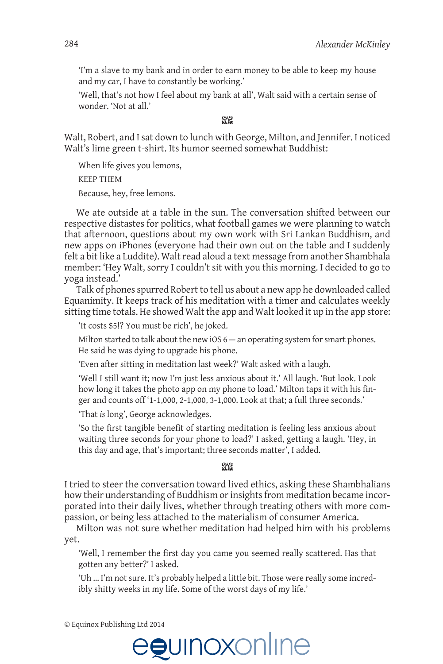'I'm a slave to my bank and in order to earn money to be able to keep my house and my car, I have to constantly be working.'

'Well, that's not how I feel about my bank at all', Walt said with a certain sense of wonder. 'Not at all.'

### $99$

Walt, Robert, and I sat down to lunch with George, Milton, and Jennifer. I noticed Walt's lime green t-shirt. Its humor seemed somewhat Buddhist:

When life gives you lemons, **KFFP THFM** 

Because, hey, free lemons.

We ate outside at a table in the sun. The conversation shifted between our respective distastes for politics, what football games we were planning to watch that afternoon, questions about my own work with Sri Lankan Buddhism, and new apps on iPhones (everyone had their own out on the table and I suddenly felt a bit like a Luddite). Walt read aloud a text message from another Shambhala member: 'Hey Walt, sorry I couldn't sit with you this morning. I decided to go to voga instead.'

Talk of phones spurred Robert to tell us about a new app he downloaded called Equanimity. It keeps track of his meditation with a timer and calculates weekly sitting time totals. He showed Walt the app and Walt looked it up in the app store:

'It costs \$5!? You must be rich', he joked.

Milton started to talk about the new iOS  $6 -$  an operating system for smart phones. He said he was dying to upgrade his phone.

'Even after sitting in meditation last week?' Walt asked with a laugh.

'Well I still want it; now I'm just less anxious about it.' All laugh. 'But look. Look how long it takes the photo app on my phone to load.' Milton taps it with his finger and counts off '1-1,000, 2-1,000, 3-1,000. Look at that; a full three seconds.'

'That is long', George acknowledges.

'So the first tangible benefit of starting meditation is feeling less anxious about waiting three seconds for your phone to load?' I asked, getting a laugh. 'Hey, in this day and age, that's important; three seconds matter', I added.

#### $98$

I tried to steer the conversation toward lived ethics, asking these Shambhalians how their understanding of Buddhism or insights from meditation became incorporated into their daily lives, whether through treating others with more compassion, or being less attached to the materialism of consumer America.

Milton was not sure whether meditation had helped him with his problems yet.

'Well, I remember the first day you came you seemed really scattered. Has that gotten any better?' I asked.

'Uh ... I'm not sure. It's probably helped a little bit. Those were really some incredibly shitty weeks in my life. Some of the worst days of my life.'

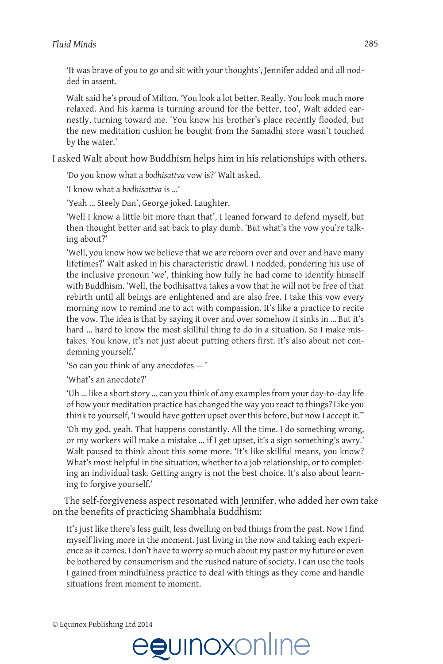'It was brave of you to go and sit with your thoughts', Jennifer added and all nodded in assent.

Walt said he's proud of Milton. 'You look a lot better. Really. You look much more relaxed. And his karma is turning around for the better, too', Walt added earnestly, turning toward me. 'You know his brother's place recently flooded, but the new meditation cushion he bought from the Samadhi store wasn't touched by the water.'

I asked Walt about how Buddhism helps him in his relationships with others.

'Do you know what a bodhisattva vow is?' Walt asked.

'I know what a bodhisattva is ...'

'Yeah ... Steely Dan', George joked. Laughter.

'Well I know a little bit more than that', I leaned forward to defend myself, but then thought better and sat back to play dumb. 'But what's the vow you're talking about?'

'Well, you know how we believe that we are reborn over and over and have many lifetimes?' Walt asked in his characteristic drawl. I nodded, pondering his use of the inclusive pronoun 'we', thinking how fully he had come to identify himself with Buddhism. 'Well, the bodhisattva takes a vow that he will not be free of that rebirth until all beings are enlightened and are also free. I take this vow every morning now to remind me to act with compassion. It's like a practice to recite the vow. The idea is that by saying it over and over somehow it sinks in ... But it's hard ... hard to know the most skillful thing to do in a situation. So I make mistakes. You know, it's not just about putting others first. It's also about not condemning yourself.'

'So can you think of any anecdotes -'

'What's an anecdote?'

'Uh ... like a short story ... can you think of any examples from your day-to-day life of how your meditation practice has changed the way you react to things? Like you think to yourself, 'I would have gotten upset over this before, but now I accept it."

'Oh my god, yeah. That happens constantly. All the time. I do something wrong, or my workers will make a mistake ... if I get upset, it's a sign something's awry.' Walt paused to think about this some more. 'It's like skillful means, you know? What's most helpful in the situation, whether to a job relationship, or to completing an individual task. Getting angry is not the best choice. It's also about learning to forgive yourself.'

The self-forgiveness aspect resonated with Jennifer, who added her own take on the benefits of practicing Shambhala Buddhism:

It's just like there's less guilt, less dwelling on bad things from the past. Now I find myself living more in the moment. Just living in the now and taking each experience as it comes. I don't have to worry so much about my past or my future or even be bothered by consumerism and the rushed nature of society. I can use the tools I gained from mindfulness practice to deal with things as they come and handle situations from moment to moment.

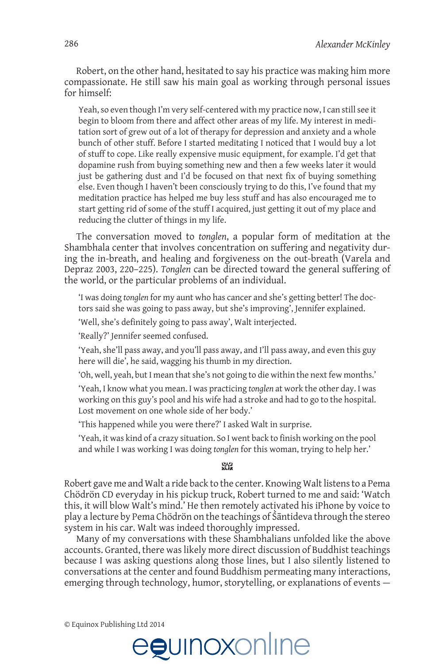Robert, on the other hand, hesitated to say his practice was making him more compassionate. He still saw his main goal as working through personal issues for himself:

Yeah, so even though I'm very self-centered with my practice now, I can still see it begin to bloom from there and affect other areas of my life. My interest in meditation sort of grew out of a lot of therapy for depression and anxiety and a whole bunch of other stuff. Before I started meditating I noticed that I would buy a lot of stuff to cope. Like really expensive music equipment, for example. I'd get that dopamine rush from buying something new and then a few weeks later it would just be gathering dust and I'd be focused on that next fix of buying something else. Even though I haven't been consciously trying to do this, I've found that my meditation practice has helped me buy less stuff and has also encouraged me to start getting rid of some of the stuff I acquired, just getting it out of my place and reducing the clutter of things in my life.

The conversation moved to tonglen, a popular form of meditation at the Shambhala center that involves concentration on suffering and negativity during the in-breath, and healing and forgiveness on the out-breath (Varela and Depraz 2003, 220-225). Tonglen can be directed toward the general suffering of the world, or the particular problems of an individual.

'I was doing tonglen for my aunt who has cancer and she's getting better! The doctors said she was going to pass away, but she's improving', Jennifer explained.

'Well, she's definitely going to pass away', Walt interjected.

'Really?' Jennifer seemed confused.

'Yeah, she'll pass away, and you'll pass away, and I'll pass away, and even this guy here will die', he said, wagging his thumb in my direction.

'Oh, well, yeah, but I mean that she's not going to die within the next few months.'

'Yeah, I know what you mean. I was practicing tonglen at work the other day. I was working on this guy's pool and his wife had a stroke and had to go to the hospital. Lost movement on one whole side of her body.'

'This happened while you were there?' I asked Walt in surprise.

'Yeah, it was kind of a crazy situation. So I went back to finish working on the pool and while I was working I was doing tonglen for this woman, trying to help her.'

#### SAS.

Robert gave me and Walt a ride back to the center. Knowing Walt listens to a Pema Chödrön CD everyday in his pickup truck, Robert turned to me and said: 'Watch this, it will blow Walt's mind.' He then remotely activated his iPhone by voice to play a lecture by Pema Chödrön on the teachings of Sāntideva through the stereo system in his car. Walt was indeed thoroughly impressed.

Many of my conversations with these Shambhalians unfolded like the above accounts. Granted, there was likely more direct discussion of Buddhist teachings because I was asking questions along those lines, but I also silently listened to conversations at the center and found Buddhism permeating many interactions, emerging through technology, humor, storytelling, or explanations of events -

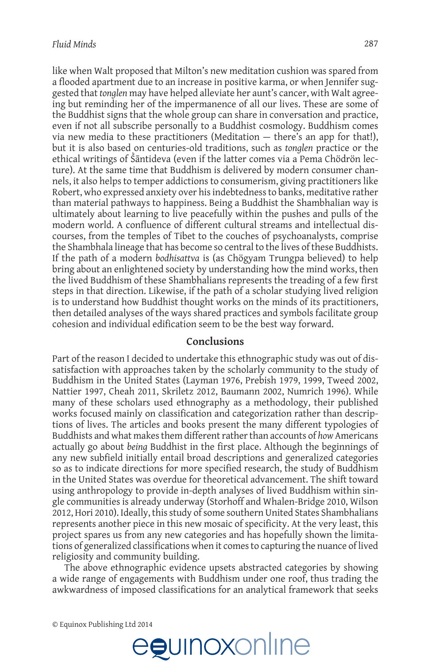like when Walt proposed that Milton's new meditation cushion was spared from a flooded apartment due to an increase in positive karma, or when Jennifer suggested that tonglen may have helped alleviate her aunt's cancer, with Walt agreeing but reminding her of the impermanence of all our lives. These are some of the Buddhist signs that the whole group can share in conversation and practice, even if not all subscribe personally to a Buddhist cosmology. Buddhism comes via new media to these practitioners (Meditation  $-$  there's an app for that!), but it is also based on centuries-old traditions, such as tonglen practice or the ethical writings of Śāntideva (even if the latter comes via a Pema Chödrön lecture). At the same time that Buddhism is delivered by modern consumer channels, it also helps to temper addictions to consumerism, giving practitioners like Robert, who expressed anxiety over his indebtedness to banks, meditative rather than material pathways to happiness. Being a Buddhist the Shambhalian way is ultimately about learning to live peacefully within the pushes and pulls of the modern world. A confluence of different cultural streams and intellectual discourses, from the temples of Tibet to the couches of psychoanalysts, comprise the Shambhala lineage that has become so central to the lives of these Buddhists. If the path of a modern bodhisattva is (as Chögyam Trungpa believed) to help bring about an enlightened society by understanding how the mind works, then the lived Buddhism of these Shambhalians represents the treading of a few first steps in that direction. Likewise, if the path of a scholar studying lived religion is to understand how Buddhist thought works on the minds of its practitioners, then detailed analyses of the ways shared practices and symbols facilitate group cohesion and individual edification seem to be the best way forward.

### Conclusions

Part of the reason I decided to undertake this ethnographic study was out of dissatisfaction with approaches taken by the scholarly community to the study of Buddhism in the United States (Layman 1976, Prebish 1979, 1999, Tweed 2002, Nattier 1997, Cheah 2011, Skriletz 2012, Baumann 2002, Numrich 1996). While many of these scholars used ethnography as a methodology, their published works focused mainly on classification and categorization rather than descriptions of lives. The articles and books present the many different typologies of Buddhists and what makes them different rather than accounts of how Americans actually go about being Buddhist in the first place. Although the beginnings of any new subfield initially entail broad descriptions and generalized categories so as to indicate directions for more specified research, the study of Buddhism in the United States was overdue for theoretical advancement. The shift toward using anthropology to provide in-depth analyses of lived Buddhism within single communities is already underway (Storhoff and Whalen-Bridge 2010, Wilson 2012, Hori 2010). Ideally, this study of some southern United States Shambhalians represents another piece in this new mosaic of specificity. At the very least, this project spares us from any new categories and has hopefully shown the limitations of generalized classifications when it comes to capturing the nuance of lived religiosity and community building.

The above ethnographic evidence upsets abstracted categories by showing a wide range of engagements with Buddhism under one roof, thus trading the awkwardness of imposed classifications for an analytical framework that seeks

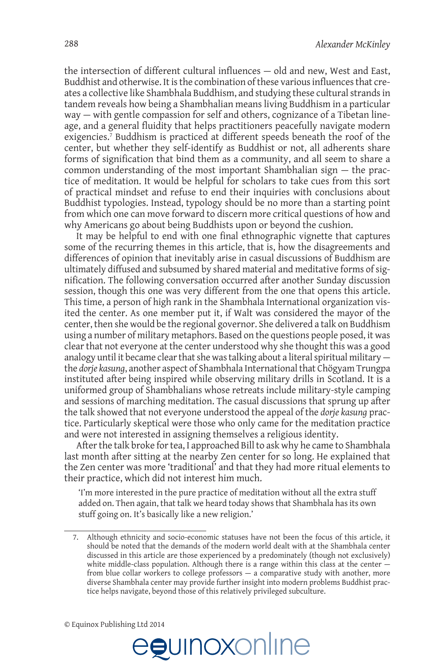the intersection of different cultural influences - old and new, West and East, Buddhist and otherwise. It is the combination of these various influences that creates a collective like Shambhala Buddhism, and studying these cultural strands in tandem reveals how being a Shambhalian means living Buddhism in a particular way – with gentle compassion for self and others, cognizance of a Tibetan lineage, and a general fluidity that helps practitioners peacefully navigate modern exigencies.<sup>7</sup> Buddhism is practiced at different speeds beneath the roof of the center, but whether they self-identify as Buddhist or not, all adherents share forms of signification that bind them as a community, and all seem to share a common understanding of the most important Shambhalian sign  $-$  the practice of meditation. It would be helpful for scholars to take cues from this sort of practical mindset and refuse to end their inquiries with conclusions about Buddhist typologies. Instead, typology should be no more than a starting point from which one can move forward to discern more critical questions of how and why Americans go about being Buddhists upon or beyond the cushion.

It may be helpful to end with one final ethnographic vignette that captures some of the recurring themes in this article, that is, how the disagreements and differences of opinion that inevitably arise in casual discussions of Buddhism are ultimately diffused and subsumed by shared material and meditative forms of signification. The following conversation occurred after another Sunday discussion session, though this one was very different from the one that opens this article. This time, a person of high rank in the Shambhala International organization visited the center. As one member put it, if Walt was considered the mayor of the center, then she would be the regional governor. She delivered a talk on Buddhism using a number of military metaphors. Based on the questions people posed, it was clear that not everyone at the center understood why she thought this was a good analogy until it became clear that she was talking about a literal spiritual military the dorje kasung, another aspect of Shambhala International that Chögyam Trungpa instituted after being inspired while observing military drills in Scotland. It is a uniformed group of Shambhalians whose retreats include military-style camping and sessions of marching meditation. The casual discussions that sprung up after the talk showed that not everyone understood the appeal of the *dorje kasung* practice. Particularly skeptical were those who only came for the meditation practice and were not interested in assigning themselves a religious identity.

After the talk broke for tea, I approached Bill to ask why he came to Shambhala last month after sitting at the nearby Zen center for so long. He explained that the Zen center was more 'traditional' and that they had more ritual elements to their practice, which did not interest him much.

'I'm more interested in the pure practice of meditation without all the extra stuff added on. Then again, that talk we heard today shows that Shambhala has its own stuff going on. It's basically like a new religion.'



Although ethnicity and socio-economic statuses have not been the focus of this article, it should be noted that the demands of the modern world dealt with at the Shambhala center discussed in this article are those experienced by a predominately (though not exclusively) white middle-class population. Although there is a range within this class at the center from blue collar workers to college professors  $-$  a comparative study with another, more diverse Shambhala center may provide further insight into modern problems Buddhist practice helps navigate, beyond those of this relatively privileged subculture.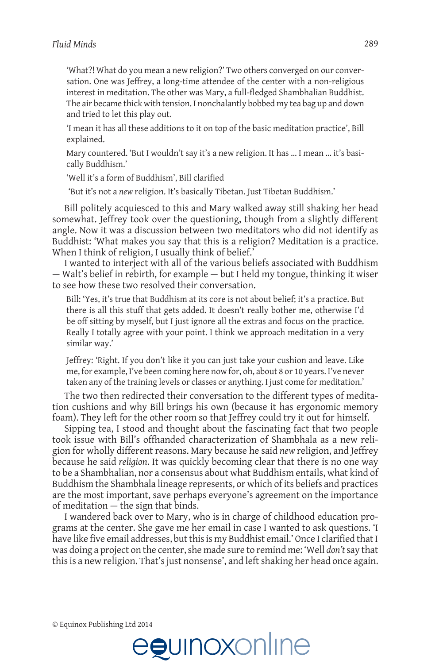'What?! What do you mean a new religion?' Two others converged on our conversation. One was Jeffrey, a long-time attendee of the center with a non-religious interest in meditation. The other was Mary, a full-fledged Shambhalian Buddhist. The air became thick with tension. I nonchalantly bobbed my tea bag up and down and tried to let this play out.

'I mean it has all these additions to it on top of the basic meditation practice', Bill explained.

Mary countered. 'But I wouldn't say it's a new religion. It has ... I mean ... it's basically Buddhism.'

'Well it's a form of Buddhism', Bill clarified

'But it's not a new religion. It's basically Tibetan. Just Tibetan Buddhism.'

Bill politely acquiesced to this and Mary walked away still shaking her head somewhat. Jeffrey took over the questioning, though from a slightly different angle. Now it was a discussion between two meditators who did not identify as Buddhist: 'What makes you say that this is a religion? Meditation is a practice. When I think of religion, I usually think of belief.'

I wanted to interject with all of the various beliefs associated with Buddhism - Walt's belief in rebirth, for example - but I held my tongue, thinking it wiser to see how these two resolved their conversation.

Bill: 'Yes, it's true that Buddhism at its core is not about belief; it's a practice. But there is all this stuff that gets added. It doesn't really bother me, otherwise I'd be off sitting by myself, but I just ignore all the extras and focus on the practice. Really I totally agree with your point. I think we approach meditation in a very similar way.'

Jeffrey: 'Right. If you don't like it you can just take your cushion and leave. Like me, for example, I've been coming here now for, oh, about 8 or 10 years. I've never taken any of the training levels or classes or anything. I just come for meditation.'

The two then redirected their conversation to the different types of meditation cushions and why Bill brings his own (because it has ergonomic memory foam). They left for the other room so that Jeffrey could try it out for himself.

Sipping tea, I stood and thought about the fascinating fact that two people took issue with Bill's offhanded characterization of Shambhala as a new religion for wholly different reasons. Mary because he said new religion, and Jeffrey because he said *religion*. It was quickly becoming clear that there is no one way to be a Shambhalian, nor a consensus about what Buddhism entails, what kind of Buddhism the Shambhala lineage represents, or which of its beliefs and practices are the most important, save perhaps everyone's agreement on the importance of meditation - the sign that binds.

I wandered back over to Mary, who is in charge of childhood education programs at the center. She gave me her email in case I wanted to ask questions. 'I have like five email addresses, but this is my Buddhist email.' Once I clarified that I was doing a project on the center, she made sure to remind me: 'Well don't say that this is a new religion. That's just nonsense', and left shaking her head once again.

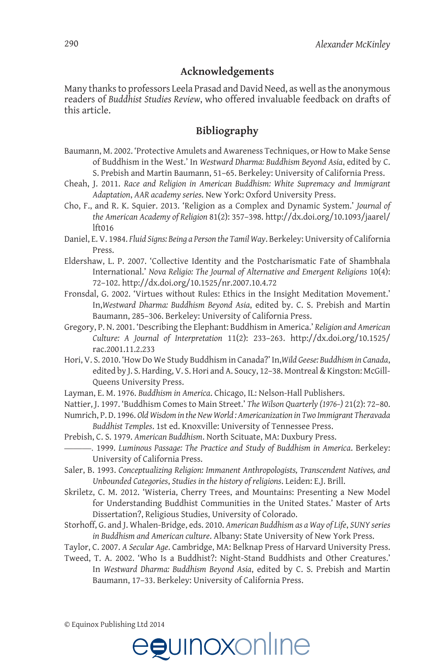## **Acknowledgements**

Many thanks to professors Leela Prasad and David Need, as well as the anonymous readers of *Buddhist Studies Review*, who offered invaluable feedback on drafts of this article.

## **Bibliography**

- Baumann, M. 2002. 'Protective Amulets and Awareness Techniques, or How to Make Sense of Buddhism in the West.' In Westward Dharma: Buddhism Beyond Asia, edited by C. S. Prebish and Martin Baumann, 51-65. Berkeley: University of California Press.
- Cheah, J. 2011. Race and Religion in American Buddhism: White Supremacy and Immigrant *Adaptation, AAR academy series. New York: Oxford University Press.*
- Cho, F., and R. K. Squier. 2013. 'Religion as a Complex and Dynamic System.' *Journal of* the American Academy of Religion 81(2): 357–398. http://dx.doi.org/10.1093/jaarel/  $lft016$
- Daniel, E. V. 1984. Fluid Signs: Being a Person the Tamil Way. Berkeley: University of California Press.
- Eldershaw, L. P. 2007. 'Collective Identity and the Postcharismatic Fate of Shambhala International.' Nova Religio: The Journal of Alternative and Emergent Religions 10(4): 72-102. http://dx.doi.org/10.1525/nr.2007.10.4.72
- Fronsdal, G. 2002. 'Virtues without Rules: Ethics in the Insight Meditation Movement.' In, Westward Dharma: Buddhism Beyond Asia, edited by. C. S. Prebish and Martin Baumann, 285-306. Berkeley: University of California Press.
- Gregory, P.N. 2001. 'Describing the Elephant: Buddhism in America.' Religion and American *Culture: A Journal of Interpretation 11(2): 233-263. http://dx.doi.org/10.1525/* rac.2001.11.2.233
- Hori, V. S. 2010. 'How Do We Study Buddhism in Canada?' In, Wild Geese: Buddhism in Canada, edited by J. S. Harding, V. S. Hori and A. Soucy, 12-38. Montreal & Kingston: McGill-Queens University Press.
- Layman, E. M. 1976. Buddhism in America. Chicago, IL: Nelson-Hall Publishers.
- Nattier, J. 1997. 'Buddhism Comes to Main Street.' The Wilson Quarterly (1976-) 21(2): 72-80.
- Numrich, P.D. 1996. Old Wisdom in the New World : Americanization in Two Immigrant Theravada Buddhist Temples. 1st ed. Knoxville: University of Tennessee Press.
- Prebish, C. S. 1979. American Buddhism. North Scituate, MA: Duxbury Press.
- —. 1999. Luminous Passage: The Practice and Study of Buddhism in America. Berkeley: University of California Press.
- 5aler, B. 1993. Conceptualizing Religion: Immanent Anthropologists, Transcendent Natives, and *Unbounded Categories, Studies in the history of religions*. Leiden: E.J. Brill.
- Skriletz, C. M. 2012. 'Wisteria, Cherry Trees, and Mountains: Presenting a New Model for Understanding Buddhist Communities in the United States.' Master of Arts Dissertation?, Religious Studies, University of Colorado.
- 6torhoff, G. and J. Whalen-Bridge, eds. 2010. American Buddhism as a Way of Life, SUNY series in Buddhism and American culture. Albany: State University of New York Press.
- Taylor, C. 2007. A Secular Age. Cambridge, MA: Belknap Press of Harvard University Press.
- Tweed, T. A. 2002. 'Who Is a Buddhist?: Night-Stand Buddhists and Other Creatures.' In Westward Dharma: Buddhism Beyond Asia, edited by C. S. Prebish and Martin Baumann, 17-33. Berkeley: University of California Press.